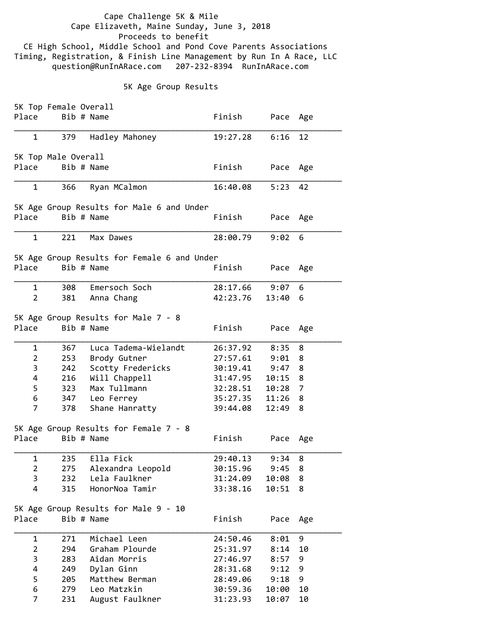Cape Challenge 5K & Mile Cape Elizaveth, Maine Sunday, June 3, 2018 Proceeds to benefit CE High School, Middle School and Pond Cove Parents Associations Timing, Registration, & Finish Line Management by Run In A Race, LLC question@RunInARace.com 207‐232‐8394 RunInARace.com

## 5K Age Group Results

|                | 5K Top Female Overall |                                             |          |           |     |
|----------------|-----------------------|---------------------------------------------|----------|-----------|-----|
| Place          | Bib # Name            |                                             | Finish   | Pace      | Age |
| 1              | 379                   | Hadley Mahoney                              | 19:27.28 | 6:16      | 12  |
|                |                       |                                             |          |           |     |
|                | 5K Top Male Overall   |                                             |          |           |     |
| Place          | Bib # Name            |                                             | Finish   | Pace      | Age |
| 1              | 366                   | Ryan MCalmon                                | 16:40.08 | 5:23      | 42  |
|                |                       | 5K Age Group Results for Male 6 and Under   |          |           |     |
| Place          | Bib # Name            |                                             | Finish   | Pace      | Age |
|                |                       |                                             |          |           |     |
| $\mathbf{1}$   | 221                   | Max Dawes                                   | 28:00.79 | 9:02      | 6   |
|                |                       | 5K Age Group Results for Female 6 and Under |          |           |     |
| Place          | Bib # Name            |                                             | Finish   | Pace Age  |     |
| 1              | 308                   | Emersoch Soch                               | 28:17.66 | 9:07      | 6   |
| $\overline{2}$ | 381                   | Anna Chang                                  | 42:23.76 | 13:40     | 6   |
|                |                       |                                             |          |           |     |
|                |                       | 5K Age Group Results for Male 7 - 8         |          |           |     |
| Place          | Bib # Name            |                                             | Finish   | Pace      | Age |
| 1              | 367                   | Luca Tadema-Wielandt                        | 26:37.92 | 8:35      | 8   |
| $\overline{2}$ | 253                   | Brody Gutner                                | 27:57.61 | 9:01      | 8   |
| 3              | 242                   | Scotty Fredericks                           | 30:19.41 | 9:47      | 8   |
| 4              | 216                   | Will Chappell                               | 31:47.95 | 10:15     | 8   |
| 5              | 323                   | Max Tullmann                                | 32:28.51 | $10:28$ 7 |     |
| 6              |                       | 347 Leo Ferrey                              | 35:27.35 | 11:26     | 8   |
| 7              | 378                   | Shane Hanratty                              | 39:44.08 | 12:49     | 8   |
|                |                       | 5K Age Group Results for Female 7 - 8       |          |           |     |
| Place          | Bib # Name            |                                             | Finish   | Pace      | Age |
|                |                       |                                             |          |           |     |
| 1              | 235                   | Ella Fick                                   | 29:40.13 | 9:34      | 8   |
| $\overline{2}$ | 275                   | Alexandra Leopold                           | 30:15.96 | 9:45      | 8   |
| 3              | 232                   | Lela Faulkner                               | 31:24.09 | 10:08     | 8   |
| 4              | 315                   | HonorNoa Tamir                              | 33:38.16 | 10:51     | 8   |
|                |                       | 5K Age Group Results for Male 9 - 10        |          |           |     |
| Place          | Bib # Name            |                                             | Finish   | Pace      | Age |
|                |                       |                                             |          |           |     |
| $\mathbf 1$    | 271                   | Michael Leen                                | 24:50.46 | 8:01      | 9   |
| $\overline{2}$ | 294                   | Graham Plourde                              | 25:31.97 | 8:14      | 10  |
| 3              | 283                   | Aidan Morris                                | 27:46.97 | 8:57      | 9   |
| 4              | 249                   | Dylan Ginn                                  | 28:31.68 | 9:12      | 9   |
| 5              | 205                   | Matthew Berman                              | 28:49.06 | 9:18      | 9   |
| 6              | 279                   | Leo Matzkin                                 | 30:59.36 | 10:00     | 10  |
| 7              | 231                   | August Faulkner                             | 31:23.93 | 10:07     | 10  |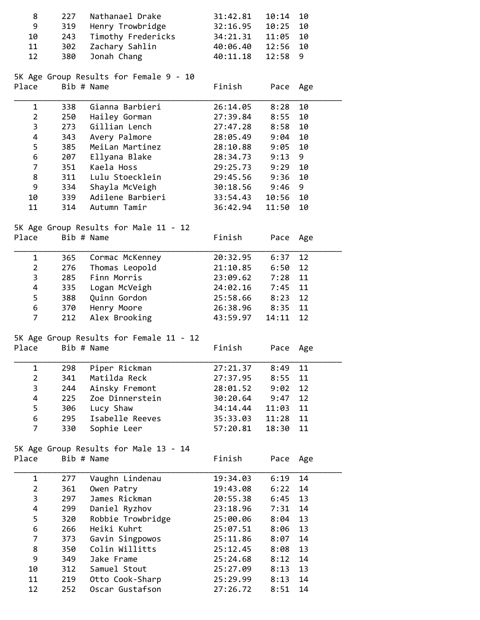| 8<br>9<br>10                          | 227<br>319<br>243 | Nathanael Drake<br>Henry Trowbridge<br>Timothy Fredericks | 31:42.81<br>32:16.95<br>34:21.31 | 10:14<br>10:25<br>11:05 | 10<br>10<br>10 |  |
|---------------------------------------|-------------------|-----------------------------------------------------------|----------------------------------|-------------------------|----------------|--|
| 11<br>12                              | 302<br>380        | Zachary Sahlin<br>Jonah Chang                             | 40:06.40<br>40:11.18             | 12:56<br>12:58          | 10<br>9        |  |
| Place                                 |                   | 5K Age Group Results for Female 9 - 10<br>Bib # Name      | Finish                           | Pace                    | Age            |  |
| $\mathbf{1}$                          | 338               | Gianna Barbieri                                           | 26:14.05                         | 8:28                    | 10             |  |
| $\overline{2}$                        | 250               | Hailey Gorman                                             | 27:39.84                         | 8:55                    | 10             |  |
| 3                                     | 273               | Gillian Lench                                             | 27:47.28                         | 8:58                    | 10             |  |
| 4                                     | 343               | Avery Palmore                                             | 28:05.49                         | 9:04                    | 10             |  |
| 5                                     | 385               | MeiLan Martinez                                           | 28:10.88                         | 9:05                    | 10             |  |
| 6                                     | 207               | Ellyana Blake                                             | 28:34.73                         | 9:13                    | 9              |  |
| $\overline{7}$                        | 351               | Kaela Hoss                                                | 29:25.73                         | 9:29                    | 10             |  |
| 8                                     | 311               | Lulu Stoecklein                                           | 29:45.56                         | 9:36                    | 10             |  |
| 9                                     | 334               | Shayla McVeigh                                            | 30:18.56                         | 9:46                    | 9              |  |
| 10                                    | 339               | Adilene Barbieri                                          | 33:54.43                         | 10:56                   | 10             |  |
| 11                                    | 314               | Autumn Tamir                                              | 36:42.94                         | 11:50                   | 10             |  |
|                                       |                   | 5K Age Group Results for Male 11 - 12                     |                                  |                         |                |  |
| Place                                 |                   | Bib # Name                                                | Finish                           | Pace                    | Age            |  |
| $\mathbf{1}$                          | 365               | Cormac McKenney                                           | 20:32.95                         | 6:37                    | 12             |  |
| $\overline{2}$                        | 276               | Thomas Leopold                                            | 21:10.85                         | 6:50                    | 12             |  |
| 3                                     | 285               | Finn Morris                                               | 23:09.62                         | 7:28                    | 11             |  |
| 4                                     | 335               | Logan McVeigh                                             | 24:02.16                         | 7:45                    | 11             |  |
| 5                                     | 388               | Quinn Gordon                                              | 25:58.66                         | 8:23                    | 12             |  |
| 6                                     | 370               | Henry Moore                                               | 26:38.96                         | 8:35                    | 11             |  |
| $\overline{7}$                        | 212               | Alex Brooking                                             | 43:59.97                         | 14:11                   | 12             |  |
|                                       |                   | 5K Age Group Results for Female 11 - 12                   |                                  |                         |                |  |
| Place                                 |                   | Bib # Name                                                | Finish                           | Pace                    | Age            |  |
| 1                                     | 298               | Piper Rickman                                             | 27:21.37                         | 8:49                    | 11             |  |
| $\overline{2}$                        | 341               | Matilda Reck                                              | 27:37.95                         | 8:55                    | 11             |  |
| 3                                     | 244               | Ainsky Fremont                                            | 28:01.52                         | 9:02                    | 12             |  |
| 4                                     | 225               | Zoe Dinnerstein                                           | 30:20.64                         | 9:47                    | 12             |  |
| 5                                     | 306               | Lucy Shaw                                                 | 34:14.44                         | 11:03                   | 11             |  |
| 6                                     | 295               | Isabelle Reeves                                           | 35:33.03                         | 11:28                   | 11             |  |
| 7                                     | 330               | Sophie Leer                                               | 57:20.81                         | 18:30                   | 11             |  |
| 5K Age Group Results for Male 13 - 14 |                   |                                                           |                                  |                         |                |  |
| Place                                 |                   | Bib # Name                                                | Finish                           | Pace                    | Age            |  |
| $\mathbf 1$                           | 277               | Vaughn Lindenau                                           | 19:34.03                         | 6:19                    | 14             |  |
| $\overline{2}$                        | 361               | Owen Patry                                                | 19:43.08                         | 6:22                    | 14             |  |
| 3                                     | 297               | James Rickman                                             | 20:55.38                         | 6:45                    | 13             |  |
| 4                                     | 299               | Daniel Ryzhov                                             | 23:18.96                         | 7:31                    | 14             |  |
| 5                                     | 320               | Robbie Trowbridge                                         | 25:00.06                         | 8:04                    | 13             |  |
| 6                                     | 266               | Heiki Kuhrt                                               | 25:07.51                         | 8:06                    | 13             |  |
| $\overline{7}$                        | 373               |                                                           |                                  |                         | 14             |  |
|                                       |                   | Gavin Singpowos                                           | 25:11.86                         | 8:07                    |                |  |
| 8                                     | 350               | Colin Willitts                                            | 25:12.45                         | 8:08                    | 13             |  |
| 9                                     | 349               | Jake Frame                                                | 25:24.68                         | 8:12                    | 14             |  |
| 10                                    | 312               | Samuel Stout                                              | 25:27.09                         | 8:13                    | 13             |  |
| 11                                    | 219               | Otto Cook-Sharp                                           | 25:29.99                         | 8:13                    | 14             |  |
| 12                                    | 252               | Oscar Gustafson                                           | 27:26.72                         | 8:51                    | 14             |  |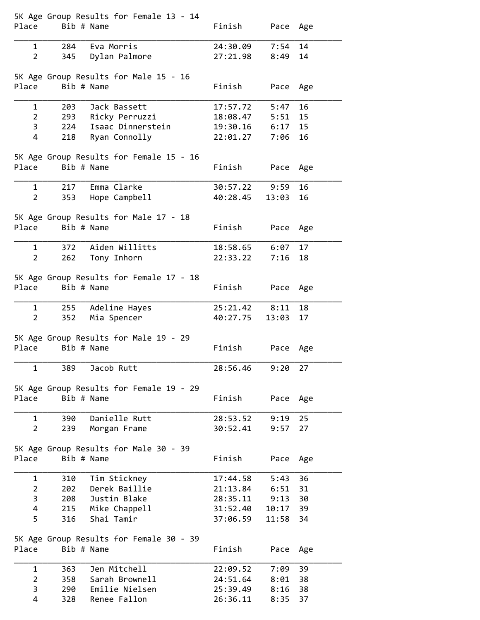| Place               | Bib # Name | 5K Age Group Results for Female 13 - 14     | Finish               | Pace Age         |          |
|---------------------|------------|---------------------------------------------|----------------------|------------------|----------|
|                     |            |                                             |                      |                  |          |
| 1<br>$\overline{2}$ |            | 284 Eva Morris<br>345 Dylan Palmore         | 24:30.09<br>27:21.98 | 7:54<br>8:49     | 14<br>14 |
|                     |            |                                             |                      |                  |          |
|                     |            | 5K Age Group Results for Male 15 - 16       |                      |                  |          |
| Place               | Bib # Name |                                             | Finish               | Pace Age         |          |
|                     |            |                                             |                      |                  |          |
| 1                   | 203        | Jack Bassett                                | 17:57.72<br>18:08.47 | 5:47             | 16<br>15 |
| $\overline{2}$<br>3 |            | 293 Ricky Perruzzi<br>224 Isaac Dinnerstein | 19:30.16             | 5:51<br>6:17     | 15       |
| 4                   |            | 218 Ryan Connolly                           | 22:01.27             | 7:06             | 16       |
|                     |            |                                             |                      |                  |          |
|                     |            | 5K Age Group Results for Female 15 - 16     |                      |                  |          |
| Place               | Bib # Name |                                             | Finish               | Pace Age         |          |
|                     |            |                                             |                      |                  |          |
| 1                   |            | 217 Emma Clarke                             | 30:57.22             | 9:59             | 16       |
| $\overline{2}$      |            | 353 Hope Campbell                           | 40:28.45             | 13:03            | 16       |
|                     |            | 5K Age Group Results for Male 17 - 18       |                      |                  |          |
| Place               | Bib # Name |                                             | Finish               | Pace Age         |          |
|                     |            |                                             |                      |                  |          |
| $\mathbf{1}$        |            | 372 Aiden Willitts                          | 18:58.65             | 6:07             | 17       |
| $\mathbf{2}$        | 262        | Tony Inhorn                                 | 22:33.22             | 7:16             | 18       |
|                     |            |                                             |                      |                  |          |
| Place               | Bib # Name | 5K Age Group Results for Female 17 - 18     | Finish               | Pace             | Age      |
|                     |            |                                             |                      |                  |          |
| 1                   | 255        | Adeline Hayes                               | 25:21.42             | 8:11             | 18       |
| 2 <sup>1</sup>      | 352        | Mia Spencer                                 | 40:27.75             | 13:03            | 17       |
|                     |            |                                             |                      |                  |          |
|                     |            | 5K Age Group Results for Male 19 - 29       |                      |                  |          |
| Place               | Bib # Name |                                             | Finish               | Pace             | Age      |
| 1                   | 389        | Jacob Rutt                                  | 28:56.46             | 9:20             | 27       |
|                     |            |                                             |                      |                  |          |
|                     |            | 5K Age Group Results for Female 19 - 29     |                      |                  |          |
| Place               | Bib # Name |                                             | Finish               | Pace             | Age      |
|                     |            |                                             |                      |                  |          |
| 1<br>$\overline{2}$ | 390<br>239 | Danielle Rutt<br>Morgan Frame               | 28:53.52<br>30:52.41 | 9:19<br>9:57     | 25<br>27 |
|                     |            |                                             |                      |                  |          |
|                     |            | 5K Age Group Results for Male 30 - 39       |                      |                  |          |
| Place               | Bib # Name |                                             | Finish               | Pace             | Age      |
|                     |            |                                             |                      |                  |          |
| 1                   | 310        | Tim Stickney                                | 17:44.58             | 5:43             | 36       |
| $\overline{2}$<br>3 | 202        | Derek Baillie<br>Justin Blake               | 21:13.84             | 6:51             | 31<br>30 |
| 4                   | 208        | 215 Mike Chappell                           | 28:35.11<br>31:52.40 | 9:13<br>10:17 39 |          |
| 5                   | 316        | Shai Tamir                                  | 37:06.59             | 11:58            | 34       |
|                     |            |                                             |                      |                  |          |
|                     |            | 5K Age Group Results for Female 30 - 39     |                      |                  |          |
| Place               | Bib # Name |                                             | Finish               | Pace             | Age      |
|                     |            |                                             |                      |                  |          |
| $\mathbf{1}$        | 363        | Jen Mitchell                                | 22:09.52             | 7:09             | 39       |
| $\overline{2}$<br>3 | 358<br>290 | Sarah Brownell<br>Emilie Nielsen            | 24:51.64<br>25:39.49 | 8:01<br>8:16     | 38<br>38 |
| 4                   | 328        | Renee Fallon                                | 26:36.11             | 8:35             | 37       |
|                     |            |                                             |                      |                  |          |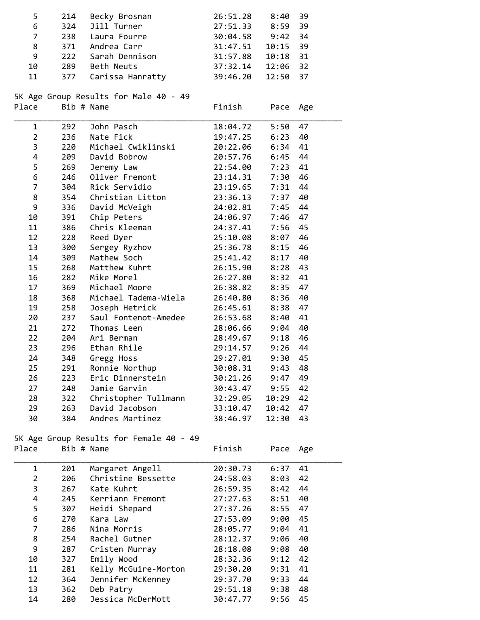| 5                                       | 214        | Becky Brosnan                         | 26:51.28 | 8:40     | 39  |  |  |
|-----------------------------------------|------------|---------------------------------------|----------|----------|-----|--|--|
| 6                                       | 324        | Jill Turner                           | 27:51.33 | 8:59     | 39  |  |  |
| $\overline{7}$                          | 238        | Laura Fourre                          | 30:04.58 | 9:42     | 34  |  |  |
| 8                                       |            | 371 Andrea Carr                       | 31:47.51 | 10:15    | 39  |  |  |
| 9                                       | 222        | Sarah Dennison                        | 31:57.88 | 10:18    | 31  |  |  |
| 10                                      |            | 289 Beth Neuts                        | 37:32.14 | 12:06 32 |     |  |  |
| 11                                      | 377        | Carissa Hanratty                      | 39:46.20 | 12:50    | 37  |  |  |
|                                         |            |                                       |          |          |     |  |  |
|                                         |            | 5K Age Group Results for Male 40 - 49 |          |          |     |  |  |
| Place                                   | Bib # Name |                                       | Finish   | Pace     | Age |  |  |
| 1                                       | 292        | John Pasch                            | 18:04.72 | 5:50     | 47  |  |  |
| $\overline{2}$                          | 236        | Nate Fick                             | 19:47.25 | 6:23     | 40  |  |  |
| 3                                       | 220        | Michael Cwiklinski                    | 20:22.06 | 6:34     | 41  |  |  |
| 4                                       | 209        | David Bobrow                          | 20:57.76 | 6:45     | 44  |  |  |
| 5                                       | 269        | Jeremy Law                            | 22:54.00 | 7:23     | 41  |  |  |
| 6                                       | 246        | Oliver Fremont                        | 23:14.31 | 7:30     | 46  |  |  |
| $\overline{7}$                          | 304        | Rick Servidio                         | 23:19.65 | 7:31     | 44  |  |  |
| 8                                       | 354        | Christian Litton                      | 23:36.13 | 7:37     | 40  |  |  |
| 9                                       | 336        | David McVeigh                         | 24:02.81 | 7:45     | 44  |  |  |
| 10                                      | 391        | Chip Peters                           | 24:06.97 | 7:46     | 47  |  |  |
| 11                                      | 386        | Chris Kleeman                         | 24:37.41 | 7:56     | 45  |  |  |
| 12                                      | 228        | Reed Dyer                             | 25:10.08 | 8:07     | 46  |  |  |
| 13                                      | 300        | Sergey Ryzhov                         | 25:36.78 | 8:15     | 46  |  |  |
| 14                                      | 309        | Mathew Soch                           | 25:41.42 | 8:17     | 40  |  |  |
| 15                                      | 268        | Matthew Kuhrt                         | 26:15.90 | 8:28     | 43  |  |  |
| 16                                      | 282        | Mike Morel                            | 26:27.80 | 8:32     | 41  |  |  |
| 17                                      | 369        | Michael Moore                         | 26:38.82 | 8:35     | 47  |  |  |
| 18                                      | 368        | Michael Tadema-Wiela                  | 26:40.80 | 8:36     | 40  |  |  |
| 19                                      | 258        | Joseph Hetrick                        | 26:45.61 | 8:38     | 47  |  |  |
| 20                                      | 237        | Saul Fontenot-Amedee                  | 26:53.68 | 8:40     | 41  |  |  |
| 21                                      | 272        | Thomas Leen                           | 28:06.66 | 9:04     | 40  |  |  |
| 22                                      | 204        | Ari Berman                            | 28:49.67 | 9:18     | 46  |  |  |
| 23                                      | 296        | Ethan Rhile                           | 29:14.57 | 9:26     | 44  |  |  |
| 24                                      | 348        | Gregg Hoss                            | 29:27.01 | 9:30     | 45  |  |  |
| 25                                      | 291        | Ronnie Northup                        | 30:08.31 | 9:43     | 48  |  |  |
| 26                                      | 223        | Eric Dinnerstein                      | 30:21.26 | 9:47     | 49  |  |  |
| 27                                      | 248        | Jamie Garvin                          | 30:43.47 | 9:55     | 42  |  |  |
| 28                                      | 322        | Christopher Tullmann                  | 32:29.05 | 10:29    | 42  |  |  |
| 29                                      | 263        | David Jacobson                        | 33:10.47 | 10:42    | 47  |  |  |
| 30                                      | 384        | Andres Martinez                       | 38:46.97 | 12:30    | 43  |  |  |
| 5K Age Group Results for Female 40 - 49 |            |                                       |          |          |     |  |  |
| Place                                   |            | Bib # Name                            | Finish   | Pace     | Age |  |  |
| 1                                       | 201        | Margaret Angell                       | 20:30.73 | 6:37     | 41  |  |  |
| $\overline{2}$                          | 206        | Christine Bessette                    | 24:58.03 | 8:03     | 42  |  |  |
| 3                                       | 267        | Kate Kuhrt                            | 26:59.35 | 8:42     | 44  |  |  |
| 4                                       | 245        | Kerriann Fremont                      | 27:27.63 | 8:51     | 40  |  |  |
| 5                                       | 307        | Heidi Shepard                         | 27:37.26 | 8:55     | 47  |  |  |
| 6                                       | 270        | Kara Law                              | 27:53.09 | 9:00     | 45  |  |  |
| 7                                       | 286        | Nina Morris                           | 28:05.77 | 9:04     | 41  |  |  |
| 8                                       | 254        | Rachel Gutner                         | 28:12.37 | 9:06     | 40  |  |  |
| 9                                       | 287        | Cristen Murray                        | 28:18.08 | 9:08     | 40  |  |  |
| 10                                      | 327        | Emily Wood                            | 28:32.36 | 9:12     | 42  |  |  |
| 11                                      | 281        | Kelly McGuire-Morton                  | 29:30.20 | 9:31     | 41  |  |  |
| 12                                      | 364        | Jennifer McKenney                     | 29:37.70 | 9:33     | 44  |  |  |
| 13                                      | 362        | Deb Patry                             | 29:51.18 | 9:38     | 48  |  |  |
| 14                                      | 280        | Jessica McDerMott                     | 30:47.77 | 9:56     | 45  |  |  |